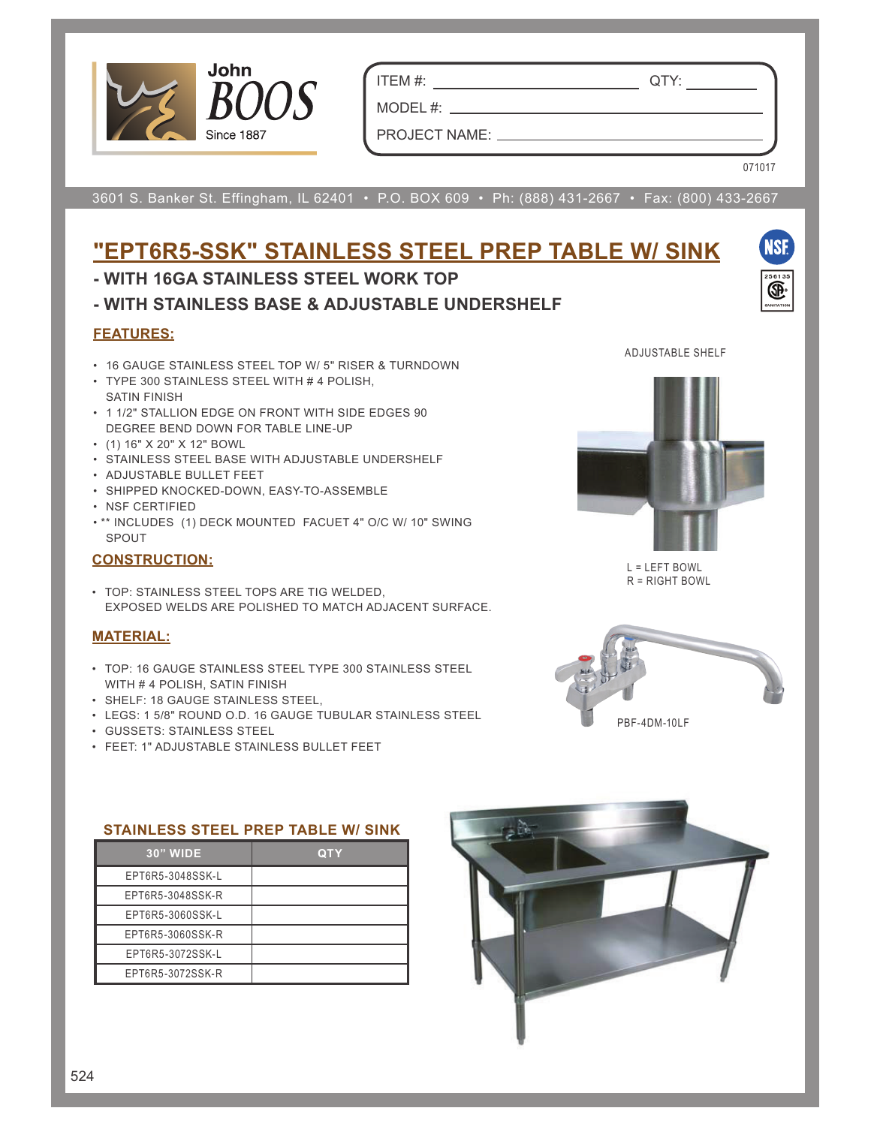

ITEM #: QTY: **Project**

MODEL #:

PROJECT NAME:

**Model #**

**Item # Qty # Qty # Qty # Qty # Qty # Qty # Qty # Qty # Qty # Qty # Qty # Qty # Qty # Qty # Qty # Qty # Qty # Qty # Qty # Qty # Qty # Qty # Qty # Qty # Qty # Qty # Qty # Qty # Qty # Qty # Qty # Qty # Qty # Qty # Qty # Qty** 

071017

NSF

3601 S. Banker St. Effingham, IL 62401 • P.O. BOX 609 • Ph: (888) 431-2667 • Fax: (800) 433-2667 **14 GAUGE TOP w/ ADJUSTABLE UNDERSHELF**

### ST4R5-2448GSK ST4R5-3048GSK ST4R5-3648GSK <u>"EPT6R5-SSK" STAINLESS STEEL PREP TABLE W/ SINK</u>

#### - WITH 16GA STAINLESS STEEL WORK TOP  $\mathbf{S}$  and  $\mathbf{S}$  and  $\mathbf{S}$

- WITH STAINLESS BASE & ADJUSTABLE UNDERSHELF

#### **FEATURES:** ST4R5-24120GSK ST4R5-30120GSK ST4R5-30120GSK ST4R5-36120GSK ST4R5-30120GSK ST4R5-36120GSK ST4R5-36120GSK **FEATURES:**

- \* 14 Gauge Stainless Steel Top with 5" Riser & turndown • 16 GAUGE STAINLESS STEEL TOP W/ 5" RISER & TURNDOWN
- **TYPE 300 STAINLESS STEEL WITH # 4 POLISH,**  $R = \frac{1}{2}$  channel running entire length  $\frac{1}{2}$  channel running entire length of table SATIN FINISH
- 1 1/2" STALLION EDGE ON FRONT WITH SIDE EDGES 90<br>PERPEE PEND BOWN 50D TABLE UNE UP DEGREE BEND DOWN FOR TABLE LINE-UP
- side edges 90 degree bend down for table line-up (1) 16" X 20" X 12" BOWL
- \* Galvanized Base with **Adjustable** Undershelf STAINLESS STEEL BASE WITH ADJUSTABLE UNDERSHELF
- \* Adjustable bullet feet ADJUSTABLE BULLET FEET
- \* Shipped knocked-down, easy to assemble SHIPPED KNOCKED-DOWN, EASY-TO-ASSEMBLE
- \* NSF Applications and • NSF CERTIFIED
	- \*\* INCLUDES (1) DECK MOUNTED FACUET 4" O/C W/ 10" SWING SPOUT

### **CONSTRUCTION:**

**CONSTRUCTION:** TOP: STAINLESS STEEL TOPS ARE TIG WELDED, TOP: STAMPLESS STEEL TOPS ARE TIG WELSED, EXPOSED WELDS ARE TO MATCH AN IACENT EXPOSED WELDS ARE POLISHED TO MATCH ADJACENT SURFACE.

## **MATERIAL:**

- **L MATERIAL: ACCESSING MATERIAL: ACCESSING MATERIAL: ACCESSING MATERIAL: ACCESSING MATERIAL: ACCESSING MATERIAL: ACCESSING MATERIAL: ACCESSING MATERIAL: ACCESSING MATERIAL: ACCESSING MATERIAL: ACCESSING M** • TOP: 16 GAUGE STAINLESS STEEL TYPE 300 STAINLESS STEEL
	-
	- LEGS: 1 5/8" ROUND O.D. 16 GAUGE TUBULAR STAINLESS STEEL

Legs: 1 5/8" Round O.D., 16 gauge tubular galvanized steel OVERSHELVES

- GUSSETS: STAINLESS STEEL
	- FEET: 1" ADJUSTABLE STAINLESS BULLET FEET



L = LEFT BOWL R = RIGHT BOWL



**w/ Galvanized Base & Adjustable Undershelf**

# **John Boos & Co STAINLESS STEEL PREP TABLE W/ SINK**

| 30" WIDE         | <b>QTY</b> |  |
|------------------|------------|--|
| EPT6R5-3048SSK-L |            |  |
| EPT6R5-3048SSK-R |            |  |
| EPT6R5-3060SSK-L |            |  |
| EPT6R5-3060SSK-R |            |  |
| EPT6R5-3072SSK-L |            |  |
| EPT6R5-3072SSK-R |            |  |